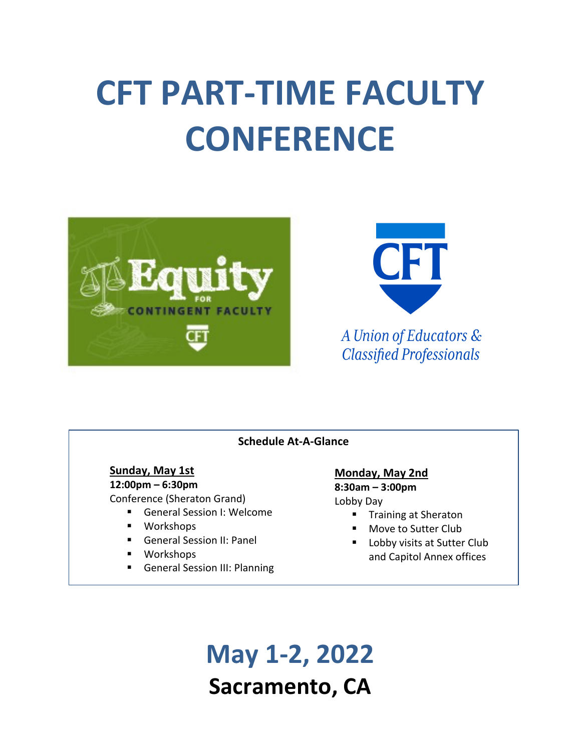# **CFT PART-TIME FACULTY CONFERENCE**





A Union of Educators & **Classified Professionals** 

### **Schedule At-A-Glance**

**Sunday, May 1st 12:00pm – 6:30pm**

Conference (Sheraton Grand)

- General Session I: Welcome
- Workshops
- General Session II: Panel
- § Workshops
- General Session III: Planning

### **Monday, May 2nd**

**8:30am – 3:00pm**

Lobby Day

- Training at Sheraton
- Move to Sutter Club
- Lobby visits at Sutter Club and Capitol Annex offices

**May 1-2, 2022 Sacramento, CA**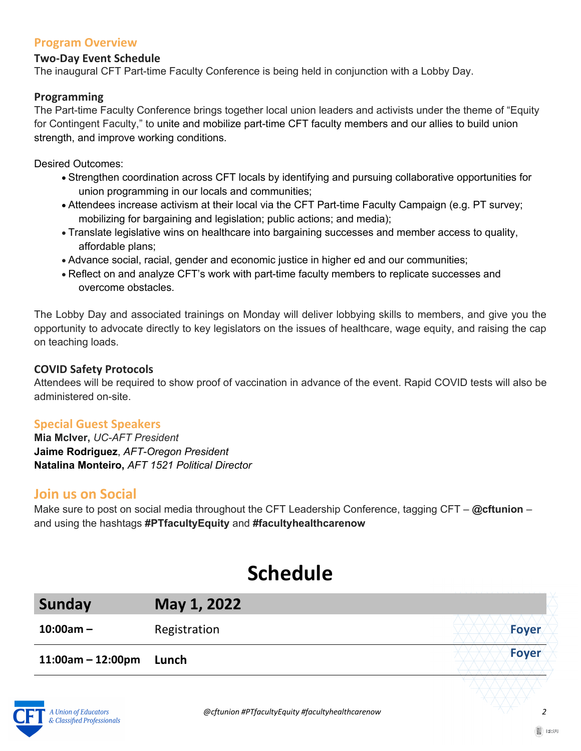### **Program Overview**

### **Two-Day Event Schedule**

The inaugural CFT Part-time Faculty Conference is being held in conjunction with a Lobby Day.

### **Programming**

The Part-time Faculty Conference brings together local union leaders and activists under the theme of "Equity for Contingent Faculty," to unite and mobilize part-time CFT faculty members and our allies to build union strength, and improve working conditions.

Desired Outcomes:

- Strengthen coordination across CFT locals by identifying and pursuing collaborative opportunities for union programming in our locals and communities;
- Attendees increase activism at their local via the CFT Part-time Faculty Campaign (e.g. PT survey; mobilizing for bargaining and legislation; public actions; and media);
- Translate legislative wins on healthcare into bargaining successes and member access to quality, affordable plans;
- Advance social, racial, gender and economic justice in higher ed and our communities;
- Reflect on and analyze CFT's work with part-time faculty members to replicate successes and overcome obstacles.

The Lobby Day and associated trainings on Monday will deliver lobbying skills to members, and give you the opportunity to advocate directly to key legislators on the issues of healthcare, wage equity, and raising the cap on teaching loads.

### **COVID Safety Protocols**

Attendees will be required to show proof of vaccination in advance of the event. Rapid COVID tests will also be administered on-site.

### **Special Guest Speakers**

**Mia McIver,** *UC-AFT President* **Jaime Rodriguez**, *AFT-Oregon President* **Natalina Monteiro,** *AFT 1521 Political Director* 

### **Join us on Social**

Make sure to post on social media throughout the CFT Leadership Conference, tagging CFT – **@cftunion** – and using the hashtags **#PTfacultyEquity** and **#facultyhealthcarenow**

## **Schedule**

| Sunday               | May 1, 2022  |              |
|----------------------|--------------|--------------|
| $10:00am -$          | Registration | <b>Foyer</b> |
| $11:00$ am – 12:00pm | Lunch        | Foyer        |
|                      |              |              |

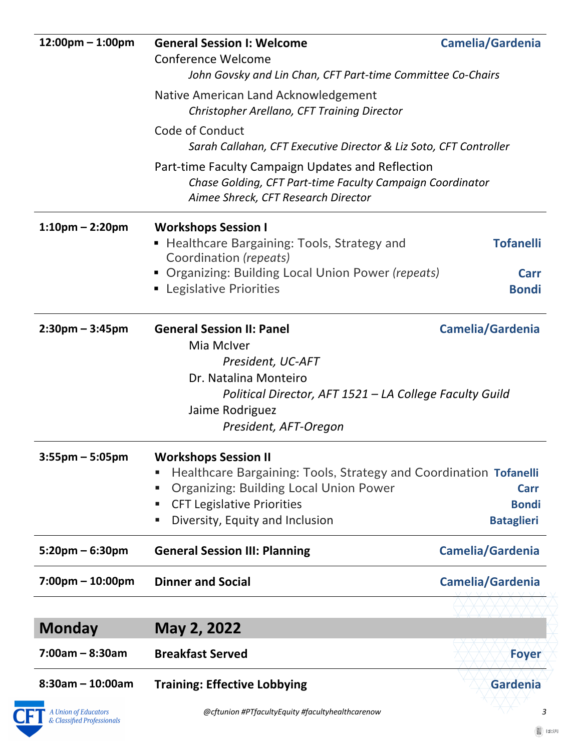| $12:00 \text{pm} - 1:00 \text{pm}$ | <b>General Session I: Welcome</b>                                                                                                                     | Camelia/Gardenia  |
|------------------------------------|-------------------------------------------------------------------------------------------------------------------------------------------------------|-------------------|
|                                    | <b>Conference Welcome</b>                                                                                                                             |                   |
|                                    | John Govsky and Lin Chan, CFT Part-time Committee Co-Chairs                                                                                           |                   |
|                                    | Native American Land Acknowledgement<br>Christopher Arellano, CFT Training Director                                                                   |                   |
|                                    | Code of Conduct                                                                                                                                       |                   |
|                                    | Sarah Callahan, CFT Executive Director & Liz Soto, CFT Controller                                                                                     |                   |
|                                    | Part-time Faculty Campaign Updates and Reflection<br>Chase Golding, CFT Part-time Faculty Campaign Coordinator<br>Aimee Shreck, CFT Research Director |                   |
| $1:10$ pm – 2:20pm                 | <b>Workshops Session I</b>                                                                                                                            |                   |
|                                    | Healthcare Bargaining: Tools, Strategy and<br>Coordination (repeats)                                                                                  | <b>Tofanelli</b>  |
|                                    | • Organizing: Building Local Union Power (repeats)                                                                                                    | <b>Carr</b>       |
|                                    | • Legislative Priorities                                                                                                                              | <b>Bondi</b>      |
| $2:30$ pm – 3:45pm                 | <b>General Session II: Panel</b>                                                                                                                      | Camelia/Gardenia  |
|                                    | Mia McIver                                                                                                                                            |                   |
|                                    | President, UC-AFT                                                                                                                                     |                   |
|                                    | Dr. Natalina Monteiro                                                                                                                                 |                   |
|                                    | Political Director, AFT 1521 – LA College Faculty Guild<br>Jaime Rodriguez                                                                            |                   |
|                                    | President, AFT-Oregon                                                                                                                                 |                   |
| $3:55$ pm – 5:05pm                 | <b>Workshops Session II</b>                                                                                                                           |                   |
|                                    | Healthcare Bargaining: Tools, Strategy and Coordination Tofanelli                                                                                     |                   |
|                                    | <b>Organizing: Building Local Union Power</b><br>ш                                                                                                    | <b>Carr</b>       |
|                                    | <b>CFT Legislative Priorities</b><br>٠                                                                                                                | <b>Bondi</b>      |
|                                    | Diversity, Equity and Inclusion<br>٠                                                                                                                  | <b>Bataglieri</b> |
| $5:20$ pm – 6:30pm                 | <b>General Session III: Planning</b>                                                                                                                  | Camelia/Gardenia  |
| $7:00 \text{pm} - 10:00 \text{pm}$ | <b>Dinner and Social</b>                                                                                                                              | Camelia/Gardenia  |
|                                    |                                                                                                                                                       |                   |
| <b>Monday</b>                      | May 2, 2022                                                                                                                                           |                   |
| $7:00am - 8:30am$                  | <b>Breakfast Served</b>                                                                                                                               | <b>Foyer</b>      |
|                                    |                                                                                                                                                       |                   |
| $8:30am - 10:00am$                 | <b>Training: Effective Lobbying</b>                                                                                                                   | Gardenia          |

 *@cftunion #PTfacultyEquity #facultyhealthcarenow 3*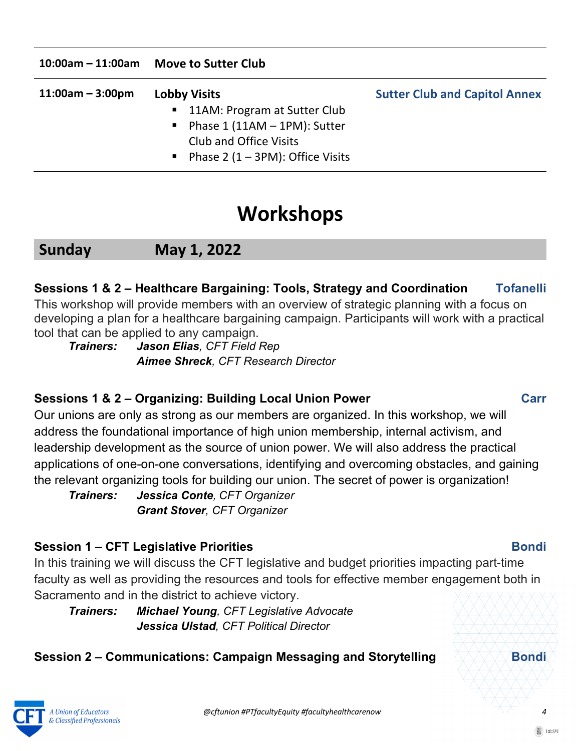|  | 10:00am - 11:00am Move to Sutter Club |
|--|---------------------------------------|
|--|---------------------------------------|

| $11:00am - 3:00pm$ | <b>Lobby Visits</b>                   | <b>Sutter Club and Capitol Annex</b> |
|--------------------|---------------------------------------|--------------------------------------|
|                    | ■ 11AM: Program at Sutter Club        |                                      |
|                    | Phase $1(11AM - 1PM)$ : Sutter        |                                      |
|                    | Club and Office Visits                |                                      |
|                    | • Phase 2 $(1 - 3PM)$ : Office Visits |                                      |

## **Workshops**

### **Sunday May 1, 2022**

### **Sessions 1 & 2 – Healthcare Bargaining: Tools, Strategy and Coordination****Tofanelli**

This workshop will provide members with an overview of strategic planning with a focus on developing a plan for a healthcare bargaining campaign. Participants will work with a practical tool that can be applied to any campaign.

*Trainers: Jason Elias, CFT Field Rep Aimee Shreck, CFT Research Director*

### **Sessions 1 & 2 – Organizing: Building Local Union Power****Carr**

Our unions are only as strong as our members are organized. In this workshop, we will address the foundational importance of high union membership, internal activism, and leadership development as the source of union power. We will also address the practical applications of one-on-one conversations, identifying and overcoming obstacles, and gaining the relevant organizing tools for building our union. The secret of power is organization!

*Trainers: Jessica Conte, CFT Organizer Grant Stover, CFT Organizer*

### **Session 1 – CFT Legislative Priorities****Bondi**

In this training we will discuss the CFT legislative and budget priorities impacting part-time faculty as well as providing the resources and tools for effective member engagement both in Sacramento and in the district to achieve victory.

*Trainers: Michael Young, CFT Legislative Advocate Jessica Ulstad, CFT Political Director*

### **Session 2 – Communications: Campaign Messaging and Storytelling**  $\sqrt{2\pi/2}$  **Bondi**

A Union of Educators & Classified Professionals